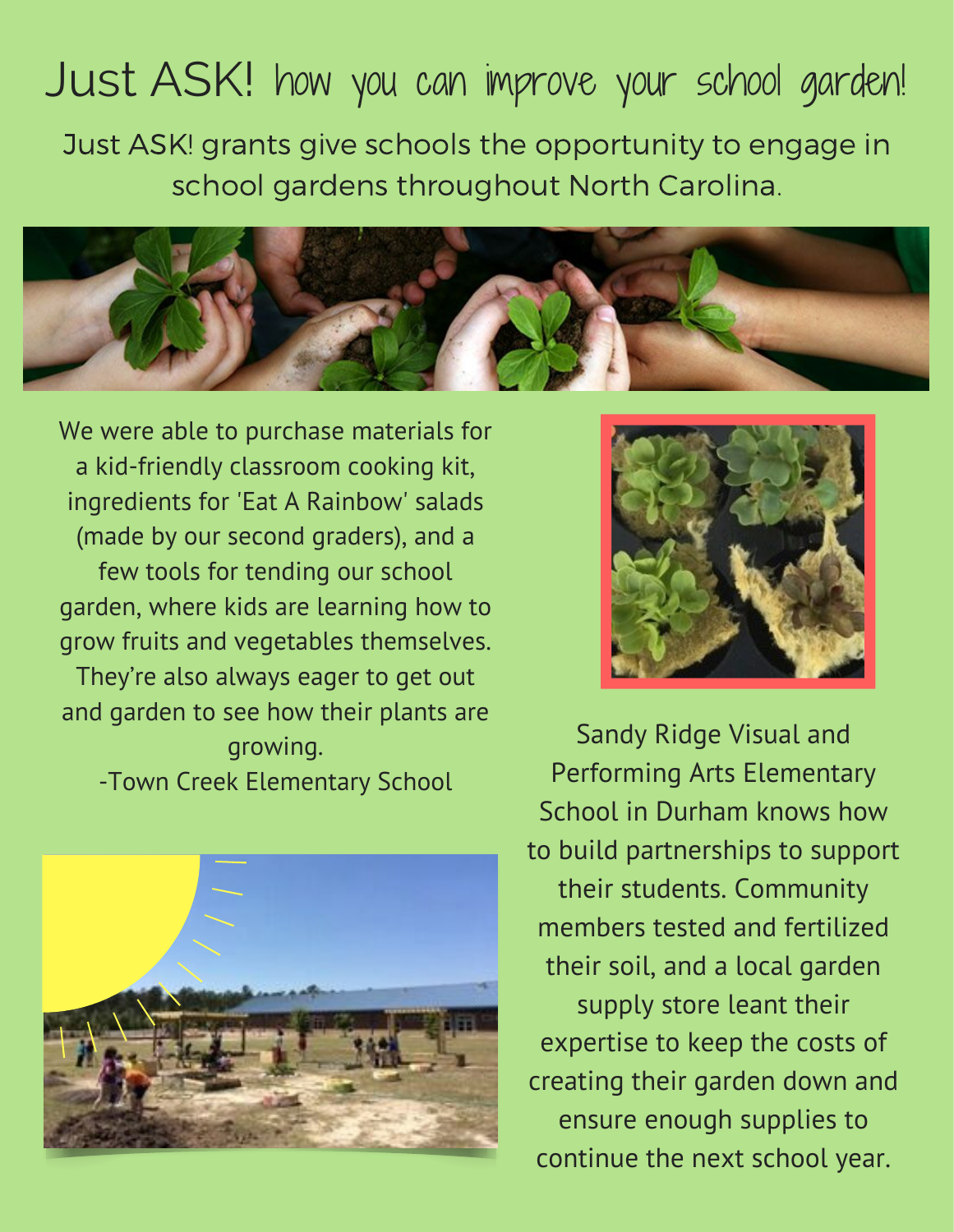## Just ASK! how you can improve your school garden!

Just ASK! grants give schools the opportunity to engage in school gardens throughout North Carolina.



We were able to purchase materials for a kid-friendly classroom cooking kit, ingredients for 'Eat A Rainbow' salads (made by our second graders), and a few tools for tending our school garden, where kids are learning how to grow fruits and vegetables themselves.

They're also always eager to get out and garden to see how their plants are growing. -Town Creek Elementary School





Sandy Ridge Visual and Performing Arts Elementary School in Durham knows how to build partnerships to support their students. Community members tested and fertilized their soil, and a local garden supply store leant their expertise to keep the costs of creating their garden down and ensure enough supplies to continue the next school year.